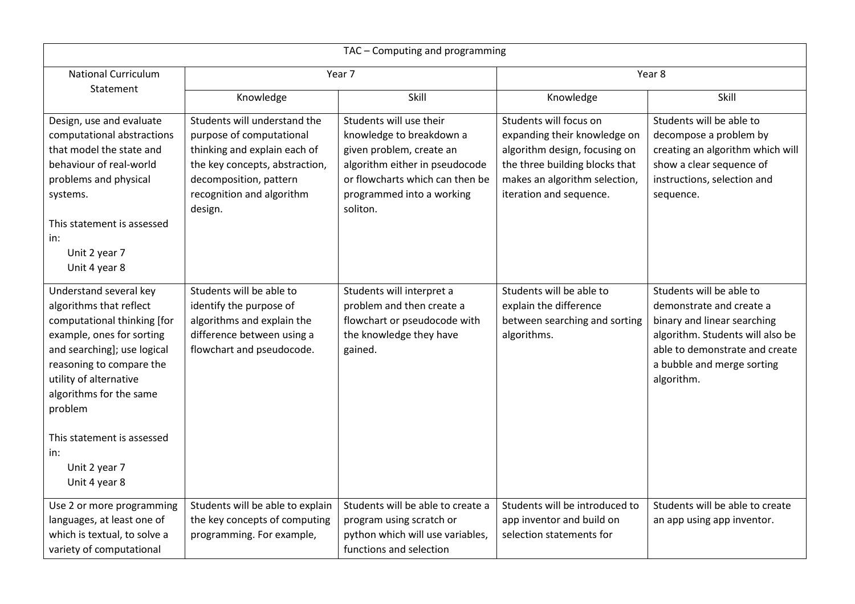| TAC - Computing and programming                                                                                                                                                                                                                                                                                 |                                                                                                                                                                                              |                                                                                                                                                                                               |                                                                                                                                                                                       |                                                                                                                                                                                                       |
|-----------------------------------------------------------------------------------------------------------------------------------------------------------------------------------------------------------------------------------------------------------------------------------------------------------------|----------------------------------------------------------------------------------------------------------------------------------------------------------------------------------------------|-----------------------------------------------------------------------------------------------------------------------------------------------------------------------------------------------|---------------------------------------------------------------------------------------------------------------------------------------------------------------------------------------|-------------------------------------------------------------------------------------------------------------------------------------------------------------------------------------------------------|
| <b>National Curriculum</b>                                                                                                                                                                                                                                                                                      | Year 7                                                                                                                                                                                       |                                                                                                                                                                                               | Year 8                                                                                                                                                                                |                                                                                                                                                                                                       |
| Statement                                                                                                                                                                                                                                                                                                       | Knowledge                                                                                                                                                                                    | Skill                                                                                                                                                                                         | Knowledge                                                                                                                                                                             | Skill                                                                                                                                                                                                 |
| Design, use and evaluate<br>computational abstractions<br>that model the state and<br>behaviour of real-world<br>problems and physical<br>systems.<br>This statement is assessed<br>in:<br>Unit 2 year 7<br>Unit 4 year 8                                                                                       | Students will understand the<br>purpose of computational<br>thinking and explain each of<br>the key concepts, abstraction,<br>decomposition, pattern<br>recognition and algorithm<br>design. | Students will use their<br>knowledge to breakdown a<br>given problem, create an<br>algorithm either in pseudocode<br>or flowcharts which can then be<br>programmed into a working<br>soliton. | Students will focus on<br>expanding their knowledge on<br>algorithm design, focusing on<br>the three building blocks that<br>makes an algorithm selection,<br>iteration and sequence. | Students will be able to<br>decompose a problem by<br>creating an algorithm which will<br>show a clear sequence of<br>instructions, selection and<br>sequence.                                        |
| Understand several key<br>algorithms that reflect<br>computational thinking [for<br>example, ones for sorting<br>and searching]; use logical<br>reasoning to compare the<br>utility of alternative<br>algorithms for the same<br>problem<br>This statement is assessed<br>in:<br>Unit 2 year 7<br>Unit 4 year 8 | Students will be able to<br>identify the purpose of<br>algorithms and explain the<br>difference between using a<br>flowchart and pseudocode.                                                 | Students will interpret a<br>problem and then create a<br>flowchart or pseudocode with<br>the knowledge they have<br>gained.                                                                  | Students will be able to<br>explain the difference<br>between searching and sorting<br>algorithms.                                                                                    | Students will be able to<br>demonstrate and create a<br>binary and linear searching<br>algorithm. Students will also be<br>able to demonstrate and create<br>a bubble and merge sorting<br>algorithm. |
| Use 2 or more programming<br>languages, at least one of<br>which is textual, to solve a<br>variety of computational                                                                                                                                                                                             | Students will be able to explain<br>the key concepts of computing<br>programming. For example,                                                                                               | Students will be able to create a<br>program using scratch or<br>python which will use variables,<br>functions and selection                                                                  | Students will be introduced to<br>app inventor and build on<br>selection statements for                                                                                               | Students will be able to create<br>an app using app inventor.                                                                                                                                         |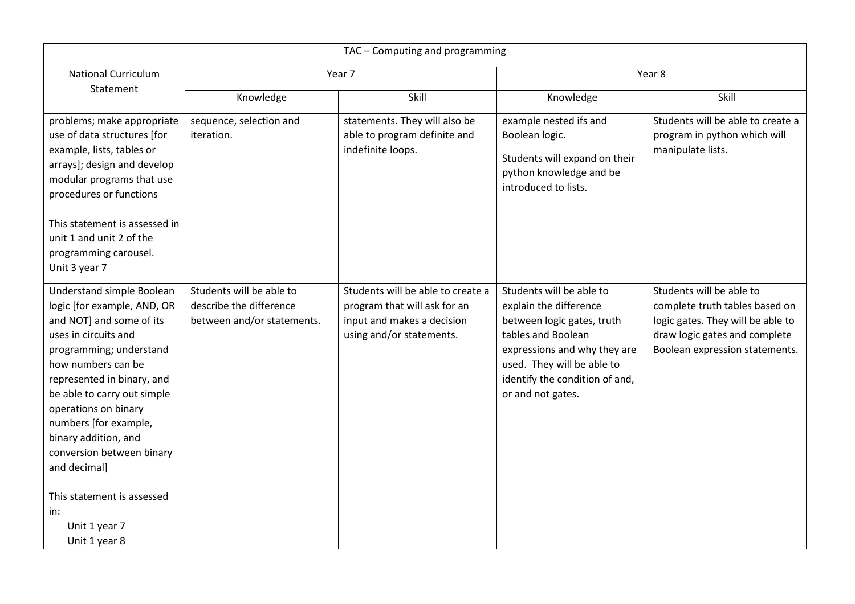| TAC - Computing and programming                                                                                                                                                                                                                                                                                                                  |                                                                                   |                                                                                                                             |                                                                                                                                                                                                                             |                                                                                                                                                                    |
|--------------------------------------------------------------------------------------------------------------------------------------------------------------------------------------------------------------------------------------------------------------------------------------------------------------------------------------------------|-----------------------------------------------------------------------------------|-----------------------------------------------------------------------------------------------------------------------------|-----------------------------------------------------------------------------------------------------------------------------------------------------------------------------------------------------------------------------|--------------------------------------------------------------------------------------------------------------------------------------------------------------------|
| <b>National Curriculum</b><br>Statement                                                                                                                                                                                                                                                                                                          | Year 7                                                                            |                                                                                                                             | Year 8                                                                                                                                                                                                                      |                                                                                                                                                                    |
|                                                                                                                                                                                                                                                                                                                                                  | Knowledge                                                                         | Skill                                                                                                                       | Knowledge                                                                                                                                                                                                                   | Skill                                                                                                                                                              |
| problems; make appropriate<br>use of data structures [for<br>example, lists, tables or<br>arrays]; design and develop<br>modular programs that use<br>procedures or functions<br>This statement is assessed in<br>unit 1 and unit 2 of the<br>programming carousel.<br>Unit 3 year 7                                                             | sequence, selection and<br>iteration.                                             | statements. They will also be<br>able to program definite and<br>indefinite loops.                                          | example nested ifs and<br>Boolean logic.<br>Students will expand on their<br>python knowledge and be<br>introduced to lists.                                                                                                | Students will be able to create a<br>program in python which will<br>manipulate lists.                                                                             |
| Understand simple Boolean<br>logic [for example, AND, OR<br>and NOT] and some of its<br>uses in circuits and<br>programming; understand<br>how numbers can be<br>represented in binary, and<br>be able to carry out simple<br>operations on binary<br>numbers [for example,<br>binary addition, and<br>conversion between binary<br>and decimal] | Students will be able to<br>describe the difference<br>between and/or statements. | Students will be able to create a<br>program that will ask for an<br>input and makes a decision<br>using and/or statements. | Students will be able to<br>explain the difference<br>between logic gates, truth<br>tables and Boolean<br>expressions and why they are<br>used. They will be able to<br>identify the condition of and,<br>or and not gates. | Students will be able to<br>complete truth tables based on<br>logic gates. They will be able to<br>draw logic gates and complete<br>Boolean expression statements. |
| This statement is assessed<br>in:<br>Unit 1 year 7<br>Unit 1 year 8                                                                                                                                                                                                                                                                              |                                                                                   |                                                                                                                             |                                                                                                                                                                                                                             |                                                                                                                                                                    |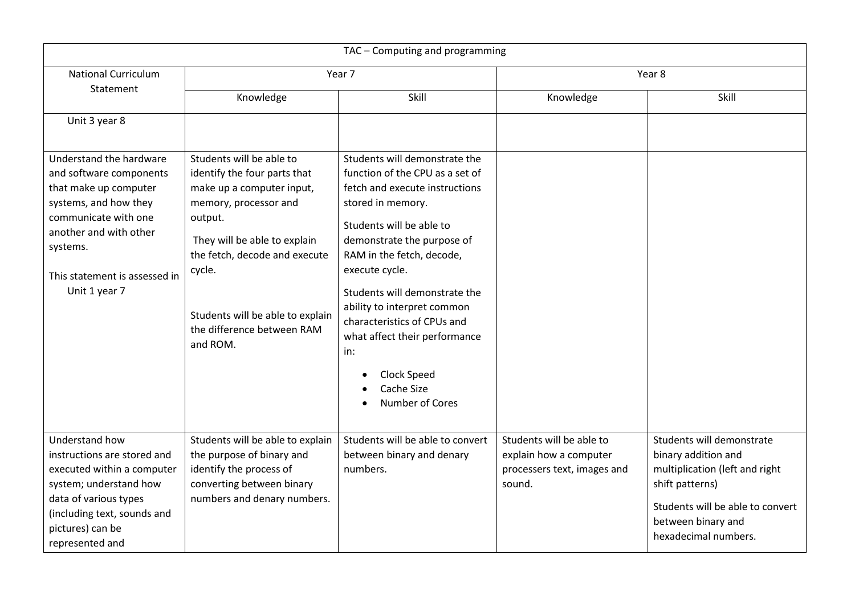| TAC - Computing and programming                                                                                                                                                                                      |                                                                                                                                                                                                                                                                                    |                                                                                                                                                                                                                                                                                                                                                                                                                         |                                                                                             |                                                                                                                                                                                         |
|----------------------------------------------------------------------------------------------------------------------------------------------------------------------------------------------------------------------|------------------------------------------------------------------------------------------------------------------------------------------------------------------------------------------------------------------------------------------------------------------------------------|-------------------------------------------------------------------------------------------------------------------------------------------------------------------------------------------------------------------------------------------------------------------------------------------------------------------------------------------------------------------------------------------------------------------------|---------------------------------------------------------------------------------------------|-----------------------------------------------------------------------------------------------------------------------------------------------------------------------------------------|
| <b>National Curriculum</b><br>Statement                                                                                                                                                                              | Year 7                                                                                                                                                                                                                                                                             |                                                                                                                                                                                                                                                                                                                                                                                                                         | Year 8                                                                                      |                                                                                                                                                                                         |
|                                                                                                                                                                                                                      | Knowledge                                                                                                                                                                                                                                                                          | Skill                                                                                                                                                                                                                                                                                                                                                                                                                   | Knowledge                                                                                   | Skill                                                                                                                                                                                   |
| Unit 3 year 8                                                                                                                                                                                                        |                                                                                                                                                                                                                                                                                    |                                                                                                                                                                                                                                                                                                                                                                                                                         |                                                                                             |                                                                                                                                                                                         |
| Understand the hardware<br>and software components<br>that make up computer<br>systems, and how they<br>communicate with one<br>another and with other<br>systems.<br>This statement is assessed in<br>Unit 1 year 7 | Students will be able to<br>identify the four parts that<br>make up a computer input,<br>memory, processor and<br>output.<br>They will be able to explain<br>the fetch, decode and execute<br>cycle.<br>Students will be able to explain<br>the difference between RAM<br>and ROM. | Students will demonstrate the<br>function of the CPU as a set of<br>fetch and execute instructions<br>stored in memory.<br>Students will be able to<br>demonstrate the purpose of<br>RAM in the fetch, decode,<br>execute cycle.<br>Students will demonstrate the<br>ability to interpret common<br>characteristics of CPUs and<br>what affect their performance<br>in:<br>Clock Speed<br>Cache Size<br>Number of Cores |                                                                                             |                                                                                                                                                                                         |
| Understand how<br>instructions are stored and<br>executed within a computer<br>system; understand how<br>data of various types<br>(including text, sounds and<br>pictures) can be<br>represented and                 | Students will be able to explain<br>the purpose of binary and<br>identify the process of<br>converting between binary<br>numbers and denary numbers.                                                                                                                               | Students will be able to convert<br>between binary and denary<br>numbers.                                                                                                                                                                                                                                                                                                                                               | Students will be able to<br>explain how a computer<br>processers text, images and<br>sound. | Students will demonstrate<br>binary addition and<br>multiplication (left and right<br>shift patterns)<br>Students will be able to convert<br>between binary and<br>hexadecimal numbers. |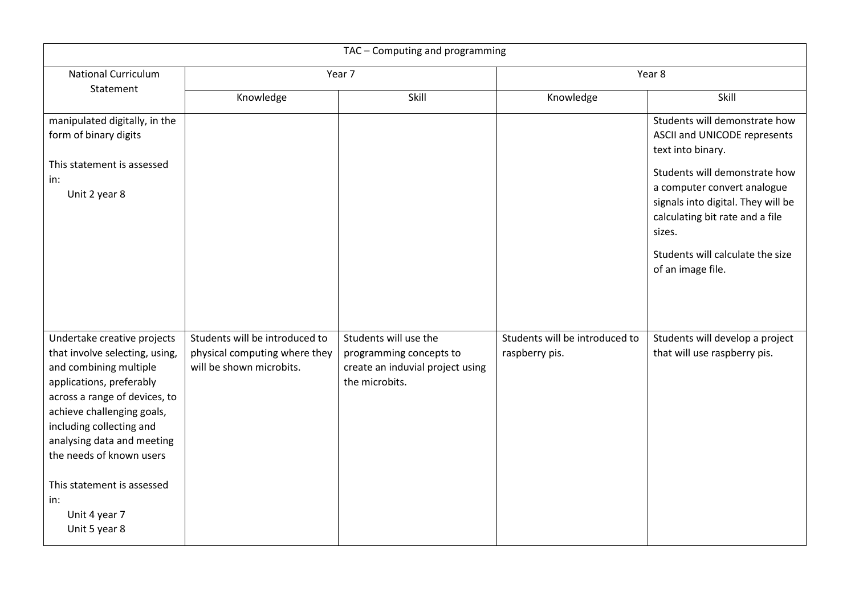| TAC - Computing and programming                                                                                                                                                                                                                                                                                                                 |                                                                                             |                                                                                                        |                                                  |                                                                                                                                                                                                          |
|-------------------------------------------------------------------------------------------------------------------------------------------------------------------------------------------------------------------------------------------------------------------------------------------------------------------------------------------------|---------------------------------------------------------------------------------------------|--------------------------------------------------------------------------------------------------------|--------------------------------------------------|----------------------------------------------------------------------------------------------------------------------------------------------------------------------------------------------------------|
| <b>National Curriculum</b><br>Statement                                                                                                                                                                                                                                                                                                         | Year 7                                                                                      |                                                                                                        | Year 8                                           |                                                                                                                                                                                                          |
|                                                                                                                                                                                                                                                                                                                                                 | Knowledge                                                                                   | Skill                                                                                                  | Knowledge                                        | Skill                                                                                                                                                                                                    |
| manipulated digitally, in the<br>form of binary digits                                                                                                                                                                                                                                                                                          |                                                                                             |                                                                                                        |                                                  | Students will demonstrate how<br>ASCII and UNICODE represents<br>text into binary.                                                                                                                       |
| This statement is assessed<br>in:<br>Unit 2 year 8                                                                                                                                                                                                                                                                                              |                                                                                             |                                                                                                        |                                                  | Students will demonstrate how<br>a computer convert analogue<br>signals into digital. They will be<br>calculating bit rate and a file<br>sizes.<br>Students will calculate the size<br>of an image file. |
| Undertake creative projects<br>that involve selecting, using,<br>and combining multiple<br>applications, preferably<br>across a range of devices, to<br>achieve challenging goals,<br>including collecting and<br>analysing data and meeting<br>the needs of known users<br>This statement is assessed<br>in:<br>Unit 4 year 7<br>Unit 5 year 8 | Students will be introduced to<br>physical computing where they<br>will be shown microbits. | Students will use the<br>programming concepts to<br>create an induvial project using<br>the microbits. | Students will be introduced to<br>raspberry pis. | Students will develop a project<br>that will use raspberry pis.                                                                                                                                          |